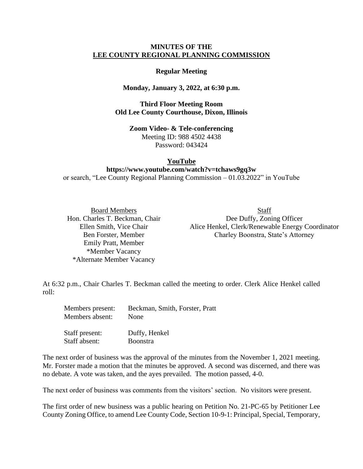## **MINUTES OF THE LEE COUNTY REGIONAL PLANNING COMMISSION**

## **Regular Meeting**

## **Monday, January 3, 2022, at 6:30 p.m.**

**Third Floor Meeting Room Old Lee County Courthouse, Dixon, Illinois**

> **Zoom Video- & Tele-conferencing** Meeting ID: 988 4502 4438 Password: 043424

## **YouTube**

**https://www.youtube.com/watch?v=tchaws9gq3w** or search, "Lee County Regional Planning Commission – 01.03.2022" in YouTube

Emily Pratt, Member \*Member Vacancy \*Alternate Member Vacancy

Staff absent: Boonstra

Board Members Staff Hon. Charles T. Beckman, Chair Dee Duffy, Zoning Officer Ellen Smith, Vice Chair Alice Henkel, Clerk/Renewable Energy Coordinator Ben Forster, Member Charley Boonstra, State's Attorney

At 6:32 p.m., Chair Charles T. Beckman called the meeting to order. Clerk Alice Henkel called roll:

| Members present: | Beckman, Smith, Forster, Pratt |
|------------------|--------------------------------|
| Members absent:  | None                           |
| Staff present:   | Duffy, Henkel                  |

The next order of business was the approval of the minutes from the November 1, 2021 meeting. Mr. Forster made a motion that the minutes be approved. A second was discerned, and there was no debate. A vote was taken, and the ayes prevailed. The motion passed, 4-0.

The next order of business was comments from the visitors' section. No visitors were present.

The first order of new business was a public hearing on Petition No. 21-PC-65 by Petitioner Lee County Zoning Office, to amend Lee County Code, Section 10-9-1: Principal, Special, Temporary,